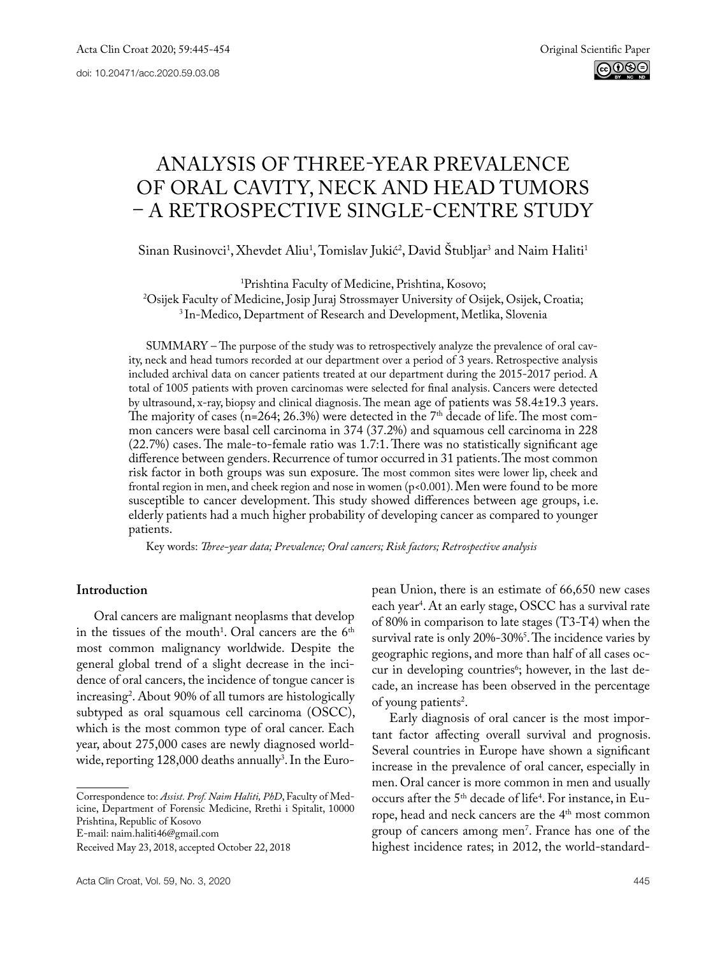# Analysis of THREE-year prevalence of oral cavity, neck and head tumors – a retrospective single-centre study

Sinan Rusinovci<sup>1</sup>, Xhevdet Aliu<sup>1</sup>, Tomislav Jukić<sup>2</sup>, David Stubljar<sup>3</sup> and Naim Haliti<sup>1</sup>

<sup>1</sup>Prishtina Faculty of Medicine, Prishtina, Kosovo;

<sup>2</sup>Osijek Faculty of Medicine, Josip Juraj Strossmayer University of Osijek, Osijek, Croatia; <sup>3</sup> In-Medico, Department of Research and Development, Metlika, Slovenia

SUMMARY – The purpose of the study was to retrospectively analyze the prevalence of oral cavity, neck and head tumors recorded at our department over a period of 3 years. Retrospective analysis included archival data on cancer patients treated at our department during the 2015-2017 period. A total of 1005 patients with proven carcinomas were selected for final analysis. Cancers were detected by ultrasound, x-ray, biopsy and clinical diagnosis. The mean age of patients was 58.4±19.3 years. The majority of cases (n=264; 26.3%) were detected in the  $7<sup>th</sup>$  decade of life. The most common cancers were basal cell carcinoma in 374 (37.2%) and squamous cell carcinoma in 228 (22.7%) cases. The male-to-female ratio was 1.7:1. There was no statistically significant age difference between genders. Recurrence of tumor occurred in 31 patients. The most common risk factor in both groups was sun exposure. The most common sites were lower lip, cheek and frontal region in men, and cheek region and nose in women (p<0.001). Men were found to be more susceptible to cancer development. This study showed differences between age groups, i.e. elderly patients had a much higher probability of developing cancer as compared to younger patients.

Key words: *Three-year data; Prevalence; Oral cancers; Risk factors; Retrospective analysis*

# **Introduction**

Oral cancers are malignant neoplasms that develop in the tissues of the mouth<sup>1</sup>. Oral cancers are the  $6<sup>th</sup>$ most common malignancy worldwide. Despite the general global trend of a slight decrease in the incidence of oral cancers, the incidence of tongue cancer is increasing2 . About 90% of all tumors are histologically subtyped as oral squamous cell carcinoma (OSCC), which is the most common type of oral cancer. Each year, about 275,000 cases are newly diagnosed worldwide, reporting 128,000 deaths annually<sup>3</sup>. In the Euro-

Correspondence to: *Assist. Prof. Naim Haliti, PhD*, Faculty of Medicine, Department of Forensic Medicine, Rrethi i Spitalit, 10000 Prishtina, Republic of Kosovo

E-mail: [naim.haliti46@gmail.com](mailto:naim.haliti46@gmail.com)

pean Union, there is an estimate of 66,650 new cases each year4 . At an early stage, OSCC has a survival rate of 80% in comparison to late stages (T3-T4) when the survival rate is only 20%-30%<sup>3</sup>. The incidence varies by geographic regions, and more than half of all cases occur in developing countries<sup>6</sup>; however, in the last decade, an increase has been observed in the percentage of young patients<sup>2</sup>.

Early diagnosis of oral cancer is the most important factor affecting overall survival and prognosis. Several countries in Europe have shown a significant increase in the prevalence of oral cancer, especially in men. Oral cancer is more common in men and usually occurs after the  $5<sup>th</sup>$  decade of life<sup>4</sup>. For instance, in Europe, head and neck cancers are the 4<sup>th</sup> most common group of cancers among men7 . France has one of the highest incidence rates; in 2012, the world-standard-

Received May 23, 2018, accepted October 22, 2018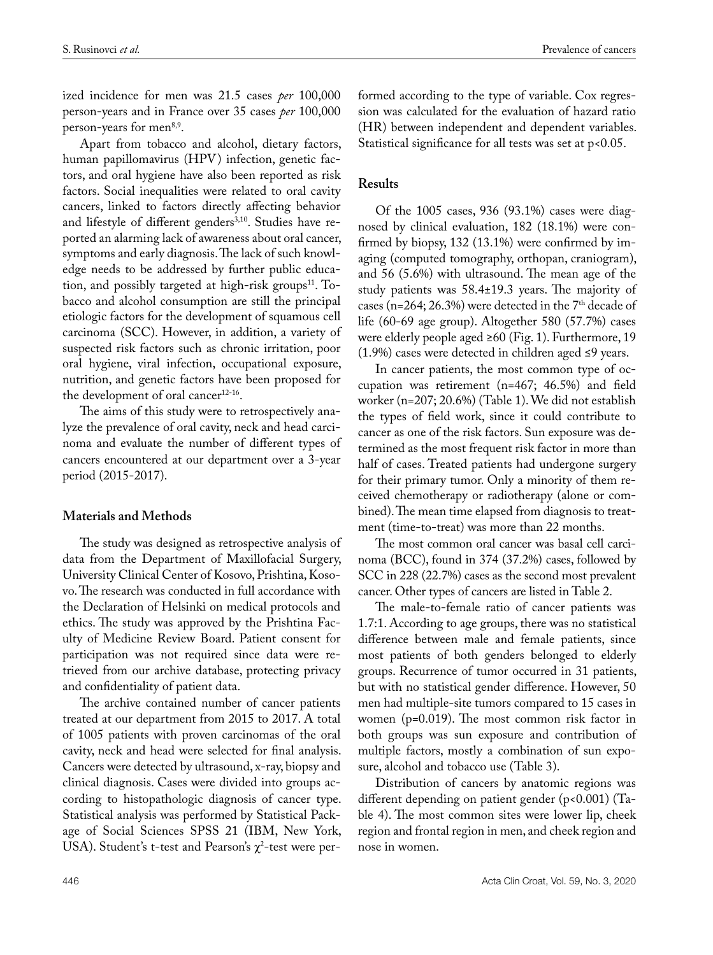ized incidence for men was 21.5 cases *per* 100,000 person-years and in France over 35 cases *per* 100,000 person-years for men<sup>8,9</sup>.

Apart from tobacco and alcohol, dietary factors, human papillomavirus (HPV) infection, genetic factors, and oral hygiene have also been reported as risk factors. Social inequalities were related to oral cavity cancers, linked to factors directly affecting behavior and lifestyle of different genders<sup>3,10</sup>. Studies have reported an alarming lack of awareness about oral cancer, symptoms and early diagnosis. The lack of such knowledge needs to be addressed by further public education, and possibly targeted at high-risk groups $^{11}$ . Tobacco and alcohol consumption are still the principal etiologic factors for the development of squamous cell carcinoma (SCC). However, in addition, a variety of suspected risk factors such as chronic irritation, poor oral hygiene, viral infection, occupational exposure, nutrition, and genetic factors have been proposed for the development of oral cancer<sup>12-16</sup>.

The aims of this study were to retrospectively analyze the prevalence of oral cavity, neck and head carcinoma and evaluate the number of different types of cancers encountered at our department over a 3-year period (2015-2017).

## **Materials and Methods**

The study was designed as retrospective analysis of data from the Department of Maxillofacial Surgery, University Clinical Center of Kosovo, Prishtina, Kosovo. The research was conducted in full accordance with the Declaration of Helsinki on medical protocols and ethics. The study was approved by the Prishtina Faculty of Medicine Review Board. Patient consent for participation was not required since data were retrieved from our archive database, protecting privacy and confidentiality of patient data.

The archive contained number of cancer patients treated at our department from 2015 to 2017. A total of 1005 patients with proven carcinomas of the oral cavity, neck and head were selected for final analysis. Cancers were detected by ultrasound, x-ray, biopsy and clinical diagnosis. Cases were divided into groups according to histopathologic diagnosis of cancer type. Statistical analysis was performed by Statistical Package of Social Sciences SPSS 21 (IBM, New York, USA). Student's t-test and Pearson's  $\chi^2$ -test were performed according to the type of variable. Cox regression was calculated for the evaluation of hazard ratio (HR) between independent and dependent variables. Statistical significance for all tests was set at p<0.05.

#### **Results**

Of the 1005 cases, 936 (93.1%) cases were diagnosed by clinical evaluation, 182 (18.1%) were confirmed by biopsy, 132 (13.1%) were confirmed by imaging (computed tomography, orthopan, craniogram), and 56 (5.6%) with ultrasound. The mean age of the study patients was 58.4±19.3 years. The majority of cases (n=264; 26.3%) were detected in the  $7<sup>th</sup>$  decade of life (60-69 age group). Altogether 580 (57.7%) cases were elderly people aged ≥60 (Fig. 1). Furthermore, 19 (1.9%) cases were detected in children aged ≤9 years.

In cancer patients, the most common type of occupation was retirement (n=467; 46.5%) and field worker (n=207; 20.6%) (Table 1). We did not establish the types of field work, since it could contribute to cancer as one of the risk factors. Sun exposure was determined as the most frequent risk factor in more than half of cases. Treated patients had undergone surgery for their primary tumor. Only a minority of them received chemotherapy or radiotherapy (alone or combined). The mean time elapsed from diagnosis to treatment (time-to-treat) was more than 22 months.

The most common oral cancer was basal cell carcinoma (BCC), found in 374 (37.2%) cases, followed by SCC in 228 (22.7%) cases as the second most prevalent cancer. Other types of cancers are listed in Table 2.

The male-to-female ratio of cancer patients was 1.7:1. According to age groups, there was no statistical difference between male and female patients, since most patients of both genders belonged to elderly groups. Recurrence of tumor occurred in 31 patients, but with no statistical gender difference. However, 50 men had multiple-site tumors compared to 15 cases in women (p=0.019). The most common risk factor in both groups was sun exposure and contribution of multiple factors, mostly a combination of sun exposure, alcohol and tobacco use (Table 3).

Distribution of cancers by anatomic regions was different depending on patient gender (p<0.001) (Table 4). The most common sites were lower lip, cheek region and frontal region in men, and cheek region and nose in women.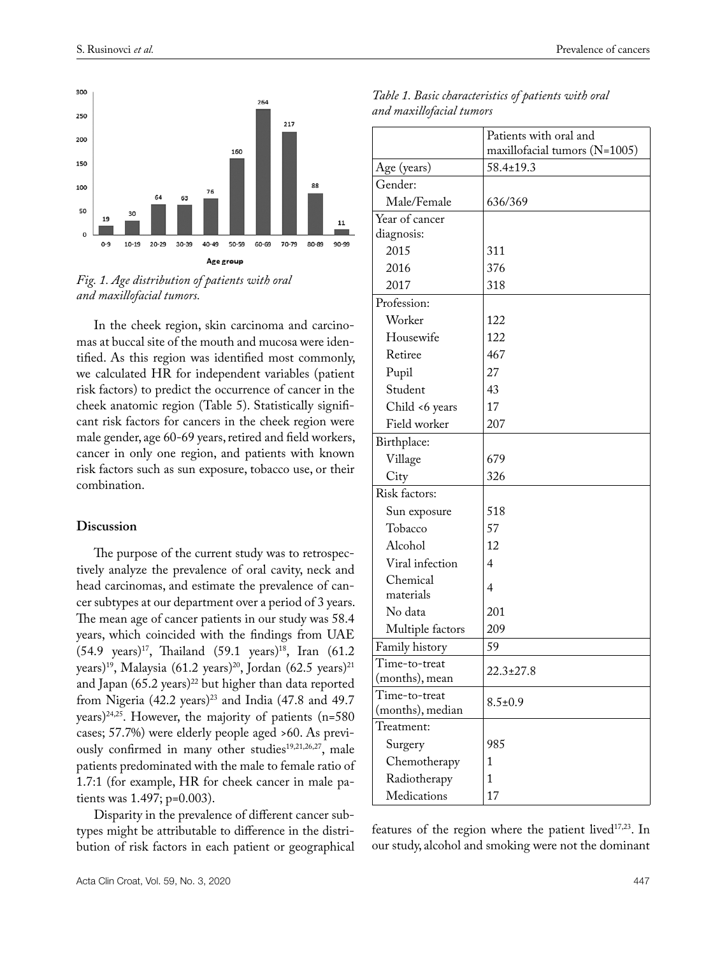

*Fig. 1. Age distribution of patients with oral and maxillofacial tumors.*

In the cheek region, skin carcinoma and carcinomas at buccal site of the mouth and mucosa were identified. As this region was identified most commonly, we calculated HR for independent variables (patient risk factors) to predict the occurrence of cancer in the cheek anatomic region (Table 5). Statistically significant risk factors for cancers in the cheek region were male gender, age 60-69 years, retired and field workers, cancer in only one region, and patients with known risk factors such as sun exposure, tobacco use, or their combination.

#### **Discussion**

The purpose of the current study was to retrospectively analyze the prevalence of oral cavity, neck and head carcinomas, and estimate the prevalence of cancer subtypes at our department over a period of 3 years. The mean age of cancer patients in our study was 58.4 years, which coincided with the findings from UAE  $(54.9 \text{ years})^{17}$ , Thailand  $(59.1 \text{ years})^{18}$ , Iran  $(61.2 \text{ year})$ years)<sup>19</sup>, Malaysia (61.2 years)<sup>20</sup>, Jordan (62.5 years)<sup>21</sup> and Japan  $(65.2 \text{ years})^{22}$  but higher than data reported from Nigeria  $(42.2 \text{ years})^{23}$  and India  $(47.8 \text{ and } 49.7)$ years) $24,25$ . However, the majority of patients (n=580) cases; 57.7%) were elderly people aged >60. As previously confirmed in many other studies<sup>19,21,26,27</sup>, male patients predominated with the male to female ratio of 1.7:1 (for example, HR for cheek cancer in male patients was 1.497; p=0.003).

Disparity in the prevalence of different cancer subtypes might be attributable to difference in the distribution of risk factors in each patient or geographical

|                  | Patients with oral and        |  |  |  |
|------------------|-------------------------------|--|--|--|
|                  | maxillofacial tumors (N=1005) |  |  |  |
| Age (years)      | 58.4±19.3                     |  |  |  |
| Gender:          |                               |  |  |  |
| Male/Female      | 636/369                       |  |  |  |
| Year of cancer   |                               |  |  |  |
| diagnosis:       |                               |  |  |  |
| 2015             | 311                           |  |  |  |
| 2016             | 376                           |  |  |  |
| 2017             | 318                           |  |  |  |
| Profession:      |                               |  |  |  |
| Worker           | 122                           |  |  |  |
| Housewife        | 122                           |  |  |  |
| Retiree          | 467                           |  |  |  |
| Pupil            | 27                            |  |  |  |
| Student          | 43                            |  |  |  |
| Child <6 years   | 17                            |  |  |  |
| Field worker     | 207                           |  |  |  |
| Birthplace:      |                               |  |  |  |
| Village          | 679                           |  |  |  |
| City             | 326                           |  |  |  |
| Risk factors:    |                               |  |  |  |
| Sun exposure     | 518                           |  |  |  |
| Tobacco          | 57                            |  |  |  |
| Alcohol          | 12                            |  |  |  |
| Viral infection  | $\overline{4}$                |  |  |  |
| Chemical         |                               |  |  |  |
| materials        | 4                             |  |  |  |
| No data          | 201                           |  |  |  |
| Multiple factors | 209                           |  |  |  |
| Family history   | 59                            |  |  |  |
| Time-to-treat    | $22.3 \pm 27.8$               |  |  |  |
| (months), mean   |                               |  |  |  |
| Time-to-treat    | $8.5 \pm 0.9$                 |  |  |  |
| (months), median |                               |  |  |  |
| Treatment:       |                               |  |  |  |
| Surgery          | 985                           |  |  |  |
| Chemotherapy     | 1                             |  |  |  |
| Radiotherapy     | $\mathbf{1}$                  |  |  |  |
| Medications      | 17                            |  |  |  |

| Table 1. Basic characteristics of patients with oral |  |
|------------------------------------------------------|--|
| and maxillofacial tumors                             |  |

features of the region where the patient lived<sup>17,23</sup>. In our study, alcohol and smoking were not the dominant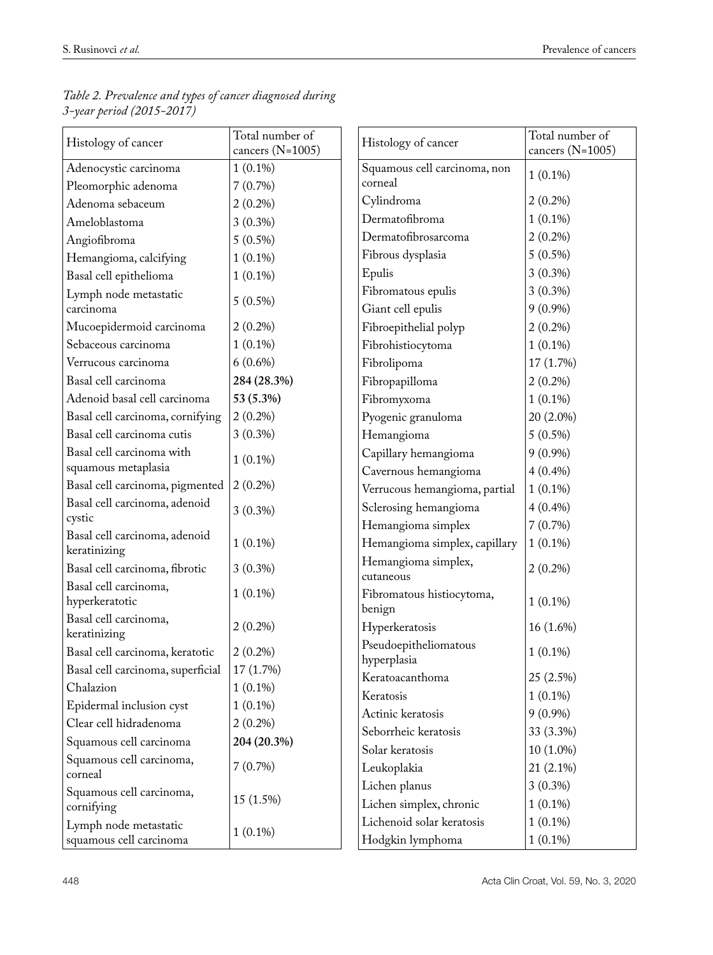| Histology of cancer                              | Total number of<br>cancers (N=1005) | Histology of cancer                  | Total number of<br>cancers (N=1005) |  |
|--------------------------------------------------|-------------------------------------|--------------------------------------|-------------------------------------|--|
| Adenocystic carcinoma                            | $1(0.1\%)$                          | Squamous cell carcinoma, non         |                                     |  |
| Pleomorphic adenoma                              | 7(0.7%)                             | corneal                              | $1(0.1\%)$                          |  |
| Adenoma sebaceum                                 | $2(0.2\%)$                          | Cylindroma                           | $2(0.2\%)$                          |  |
| Ameloblastoma                                    | $3(0.3\%)$                          | Dermatofibroma                       | $1(0.1\%)$                          |  |
| Angiofibroma                                     | $5(0.5\%)$                          | Dermatofibrosarcoma                  | $2(0.2\%)$                          |  |
| Hemangioma, calcifying                           | $1(0.1\%)$                          | Fibrous dysplasia                    | $5(0.5\%)$                          |  |
| Basal cell epithelioma                           | $1(0.1\%)$                          | Epulis                               | $3(0.3\%)$                          |  |
| Lymph node metastatic                            | $5(0.5\%)$                          | Fibromatous epulis                   | $3(0.3\%)$                          |  |
| carcinoma                                        |                                     | Giant cell epulis                    | $9(0.9\%)$                          |  |
| Mucoepidermoid carcinoma                         | $2(0.2\%)$                          | Fibroepithelial polyp                | $2(0.2\%)$                          |  |
| Sebaceous carcinoma                              | $1(0.1\%)$                          | Fibrohistiocytoma                    | $1(0.1\%)$                          |  |
| Verrucous carcinoma                              | $6(0.6\%)$                          | Fibrolipoma                          | 17 (1.7%)                           |  |
| Basal cell carcinoma                             | 284 (28.3%)                         | Fibropapilloma                       | $2(0.2\%)$                          |  |
| Adenoid basal cell carcinoma                     | 53 (5.3%)                           | Fibromyxoma                          | $1(0.1\%)$                          |  |
| Basal cell carcinoma, cornifying                 | $2(0.2\%)$                          | Pyogenic granuloma                   | 20 (2.0%)                           |  |
| Basal cell carcinoma cutis                       | $3(0.3\%)$                          | Hemangioma                           | $5(0.5\%)$                          |  |
| Basal cell carcinoma with                        | $1(0.1\%)$                          | Capillary hemangioma                 | $9(0.9\%)$                          |  |
| squamous metaplasia                              |                                     | Cavernous hemangioma                 | $4(0.4\%)$                          |  |
| Basal cell carcinoma, pigmented                  | $2(0.2\%)$                          | Verrucous hemangioma, partial        | $1(0.1\%)$                          |  |
| Basal cell carcinoma, adenoid                    | $3(0.3\%)$                          | Sclerosing hemangioma                | $4(0.4\%)$                          |  |
| cystic                                           |                                     | Hemangioma simplex                   | 7(0.7%)                             |  |
| Basal cell carcinoma, adenoid<br>keratinizing    | $1(0.1\%)$                          | Hemangioma simplex, capillary        | $1(0.1\%)$                          |  |
| Basal cell carcinoma, fibrotic                   | $3(0.3\%)$                          | Hemangioma simplex,<br>cutaneous     | $2(0.2\%)$                          |  |
| Basal cell carcinoma,<br>hyperkeratotic          | $1(0.1\%)$                          | Fibromatous histiocytoma,            | $1(0.1\%)$                          |  |
| Basal cell carcinoma,                            |                                     | benign                               |                                     |  |
| keratinizing                                     | $2(0.2\%)$                          | Hyperkeratosis                       | 16 (1.6%)                           |  |
| Basal cell carcinoma, keratotic                  | $2(0.2\%)$                          | Pseudoepitheliomatous<br>hyperplasia | $1(0.1\%)$                          |  |
| Basal cell carcinoma, superficial                | 17 (1.7%)                           | Keratoacanthoma                      | 25 (2.5%)                           |  |
| Chalazion                                        | $1(0.1\%)$                          | Keratosis                            | $1(0.1\%)$                          |  |
| Epidermal inclusion cyst                         | $1(0.1\%)$                          | Actinic keratosis                    | $9(0.9\%)$                          |  |
| Clear cell hidradenoma                           | $2(0.2\%)$                          | Seborrheic keratosis                 | 33 (3.3%)                           |  |
| Squamous cell carcinoma                          | 204 (20.3%)                         | Solar keratosis                      | $10(1.0\%)$                         |  |
| Squamous cell carcinoma,                         | 7(0.7%)                             | Leukoplakia                          | 21 (2.1%)                           |  |
| corneal                                          |                                     | Lichen planus                        | $3(0.3\%)$                          |  |
| Squamous cell carcinoma,                         | 15 (1.5%)                           | Lichen simplex, chronic              | $1(0.1\%)$                          |  |
| cornifying                                       |                                     | Lichenoid solar keratosis            | $1(0.1\%)$                          |  |
| Lymph node metastatic<br>squamous cell carcinoma | $1(0.1\%)$                          | Hodgkin lymphoma                     | $1(0.1\%)$                          |  |
|                                                  |                                     |                                      |                                     |  |

| Table 2. Prevalence and types of cancer diagnosed during |  |  |
|----------------------------------------------------------|--|--|
| 3-year period (2015–2017)                                |  |  |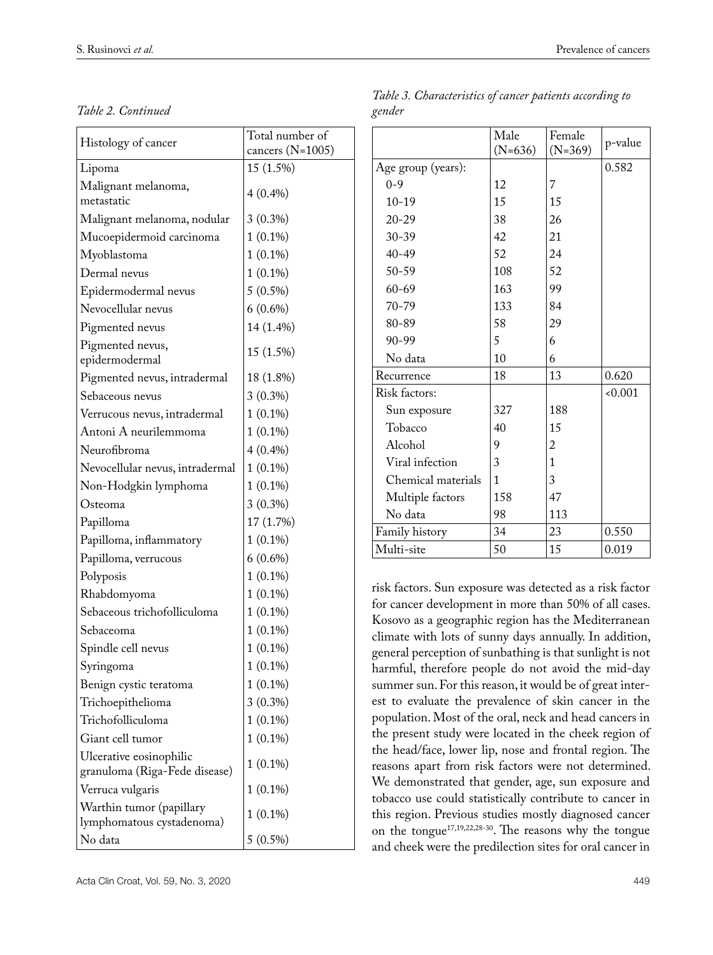| Histology of cancer                | Total number of  |  |  |
|------------------------------------|------------------|--|--|
|                                    | cancers (N=1005) |  |  |
| Lipoma                             | 15 (1.5%)        |  |  |
| Malignant melanoma,                | $4(0.4\%)$       |  |  |
| metastatic                         |                  |  |  |
| Malignant melanoma, nodular        | $3(0.3\%)$       |  |  |
| Mucoepidermoid carcinoma           | $1(0.1\%)$       |  |  |
| Myoblastoma                        | $1(0.1\%)$       |  |  |
| Dermal nevus                       | $1(0.1\%)$       |  |  |
| Epidermodermal nevus               | $5(0.5\%)$       |  |  |
| Nevocellular nevus                 | $6(0.6\%)$       |  |  |
| Pigmented nevus                    | 14 (1.4%)        |  |  |
| Pigmented nevus,<br>epidermodermal | 15 (1.5%)        |  |  |
| Pigmented nevus, intradermal       | 18 (1.8%)        |  |  |
| Sebaceous nevus                    | $3(0.3\%)$       |  |  |
| Verrucous nevus, intradermal       | $1(0.1\%)$       |  |  |
| Antoni A neurilemmoma              | $1(0.1\%)$       |  |  |
| Neurofibroma                       | $4(0.4\%)$       |  |  |
| Nevocellular nevus, intradermal    | $1(0.1\%)$       |  |  |
| Non-Hodgkin lymphoma               | $1(0.1\%)$       |  |  |
| Osteoma                            | $3(0.3\%)$       |  |  |
| Papilloma                          | 17 (1.7%)        |  |  |
| Papilloma, inflammatory            | $1(0.1\%)$       |  |  |
| Papilloma, verrucous               | $6(0.6\%)$       |  |  |
| Polyposis                          | $1(0.1\%)$       |  |  |
| Rhabdomyoma                        | $1(0.1\%)$       |  |  |
| Sebaceous trichofolliculoma        | $1(0.1\%)$       |  |  |
| Sebaceoma                          | $1(0.1\%)$       |  |  |
| Spindle cell nevus                 | $1(0.1\%)$       |  |  |
| Syringoma                          | $1(0.1\%)$       |  |  |
| Benign cystic teratoma             | $1(0.1\%)$       |  |  |
| Trichoepithelioma                  | $3(0.3\%)$       |  |  |
| Trichofolliculoma                  | $1(0.1\%)$       |  |  |
| Giant cell tumor                   | $1(0.1\%)$       |  |  |
| Ulcerative eosinophilic            |                  |  |  |
| granuloma (Riga-Fede disease)      | $1(0.1\%)$       |  |  |
| Verruca vulgaris                   | $1(0.1\%)$       |  |  |
| Warthin tumor (papillary           | $1(0.1\%)$       |  |  |
| lymphomatous cystadenoma)          |                  |  |  |
| No data                            | $5(0.5\%)$       |  |  |

|                    | Male<br>$(N=636)$ | Female<br>$(N=369)$ | p-value |  |
|--------------------|-------------------|---------------------|---------|--|
| Age group (years): |                   |                     | 0.582   |  |
| $0 - 9$            | 12                | 7                   |         |  |
| $10 - 19$          | 15                | 15                  |         |  |
| $20 - 29$          | 38                | 26                  |         |  |
| $30 - 39$          | 42                | 21                  |         |  |
| $40 - 49$          | 52                | 24                  |         |  |
| $50 - 59$          | 108               | 52                  |         |  |
| $60 - 69$          | 163               | 99                  |         |  |
| $70 - 79$          | 133               | 84                  |         |  |
| 80-89              | 58                | 29                  |         |  |
| $90 - 99$          | 5                 | 6                   |         |  |
| No data            | 10                | 6                   |         |  |
| Recurrence         | 18                | 13                  | 0.620   |  |
| Risk factors:      |                   |                     | < 0.001 |  |
| Sun exposure       | 327               | 188                 |         |  |
| Tobacco            | 40                | 15                  |         |  |
| Alcohol            | 9                 | 2                   |         |  |
| Viral infection    | 3                 | $\mathbf{1}$        |         |  |
| Chemical materials | 1                 | 3                   |         |  |
| Multiple factors   | 158               | 47                  |         |  |
| No data            | 98                | 113                 |         |  |
| Family history     | 34                | 23                  | 0.550   |  |
| Multi-site         | 50                | 15                  | 0.019   |  |

*Table 3. Characteristics of cancer patients according to gender*

r

risk factors. Sun exposure was detected as a risk factor for cancer development in more than 50% of all cases. Kosovo as a geographic region has the Mediterranean climate with lots of sunny days annually. In addition, general perception of sunbathing is that sunlight is not harmful, therefore people do not avoid the mid-day summer sun. For this reason, it would be of great interest to evaluate the prevalence of skin cancer in the population. Most of the oral, neck and head cancers in the present study were located in the cheek region of the head/face, lower lip, nose and frontal region. The reasons apart from risk factors were not determined. We demonstrated that gender, age, sun exposure and tobacco use could statistically contribute to cancer in this region. Previous studies mostly diagnosed cancer on the tongue<sup>17,19,22,28-30</sup>. The reasons why the tongue and cheek were the predilection sites for oral cancer in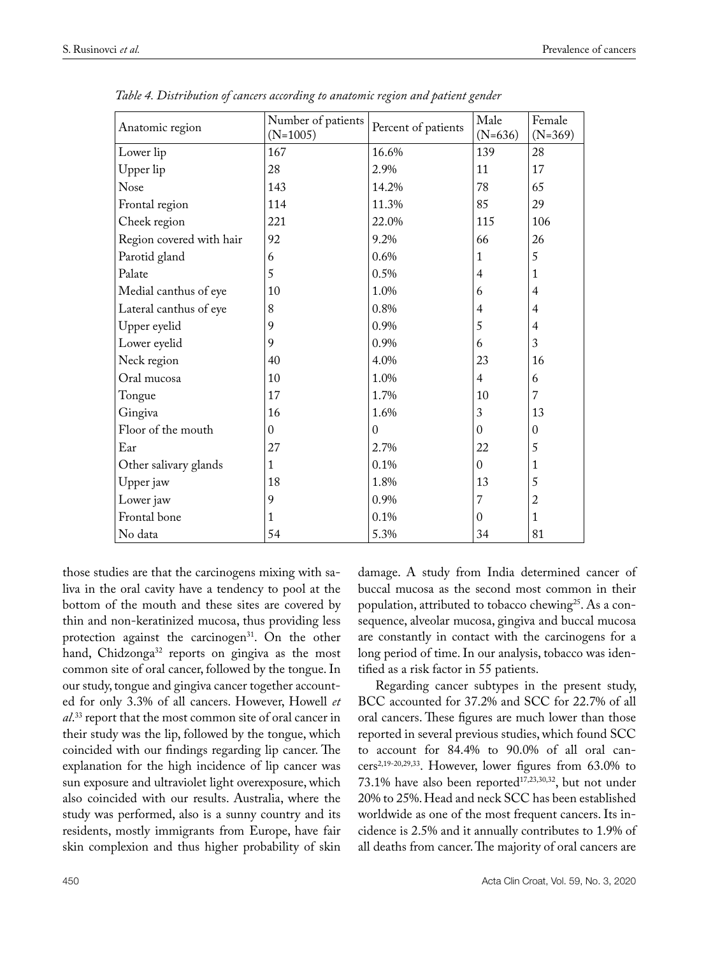| Anatomic region          | Number of patients<br>$(N=1005)$ | Percent of patients | Male<br>$(N=636)$ | Female<br>$(N=369)$ |
|--------------------------|----------------------------------|---------------------|-------------------|---------------------|
| Lower lip                | 167                              |                     | 139               | 28                  |
| Upper lip                | 28                               | 2.9%                | 11                | 17                  |
| Nose                     | 143                              | 14.2%               | 78                | 65                  |
| Frontal region           | 114                              | 11.3%               | 85                | 29                  |
| Cheek region             | 221                              | 22.0%               | 115               | 106                 |
| Region covered with hair | 92                               | 9.2%                | 66                | 26                  |
| Parotid gland            | 6                                | 0.6%                | 1                 | 5                   |
| Palate                   | 5                                | 0.5%                | $\overline{4}$    | $\mathbf{1}$        |
| Medial canthus of eye    | 10                               | 1.0%                | 6                 | 4                   |
| Lateral canthus of eye   | 8                                | 0.8%                | 4                 | 4                   |
| Upper eyelid             | 9                                | 0.9%                | 5                 | $\overline{4}$      |
| Lower eyelid             | 9                                | 0.9%                | 6                 | 3                   |
| Neck region              | 40                               | 4.0%                | 23                | 16                  |
| Oral mucosa              | 10                               | 1.0%                | $\overline{4}$    | 6                   |
| Tongue                   | 17                               | 1.7%                | 10                | 7                   |
| Gingiva                  | 16                               | 1.6%                | 3                 | 13                  |
| Floor of the mouth       | $\Omega$                         | $\Omega$            | $\Omega$          | $\Omega$            |
| Ear                      | 27                               | 2.7%                | 22                | 5                   |
| Other salivary glands    | $\mathbf{1}$                     | 0.1%                | $\Omega$          | 1                   |
| Upper jaw                | 18                               | 1.8%                | 13                | 5                   |
| Lower jaw                | 9                                | 0.9%                | 7                 | $\overline{2}$      |
| Frontal bone             | 1                                | 0.1%                | $\mathbf{0}$      | $\mathbf{1}$        |
| No data                  | 54                               | 5.3%                | 34                | 81                  |

*Table 4. Distribution of cancers according to anatomic region and patient gender*

those studies are that the carcinogens mixing with saliva in the oral cavity have a tendency to pool at the bottom of the mouth and these sites are covered by thin and non-keratinized mucosa, thus providing less protection against the carcinogen<sup>31</sup>. On the other hand, Chidzonga<sup>32</sup> reports on gingiva as the most common site of oral cancer, followed by the tongue. In our study, tongue and gingiva cancer together accounted for only 3.3% of all cancers. However, Howell *et al*. 33 report that the most common site of oral cancer in their study was the lip, followed by the tongue, which coincided with our findings regarding lip cancer. The explanation for the high incidence of lip cancer was sun exposure and ultraviolet light overexposure, which also coincided with our results. Australia, where the study was performed, also is a sunny country and its residents, mostly immigrants from Europe, have fair skin complexion and thus higher probability of skin

population, attributed to tobacco chewing<sup>25</sup>. As a consequence, alveolar mucosa, gingiva and buccal mucosa are constantly in contact with the carcinogens for a long period of time. In our analysis, tobacco was identified as a risk factor in 55 patients. Regarding cancer subtypes in the present study,

damage. A study from India determined cancer of buccal mucosa as the second most common in their

BCC accounted for 37.2% and SCC for 22.7% of all oral cancers. These figures are much lower than those reported in several previous studies, which found SCC to account for 84.4% to 90.0% of all oral cancers2,19-20,29,33. However, lower figures from 63.0% to 73.1% have also been reported<sup>17,23,30,32</sup>, but not under 20% to 25%. Head and neck SCC has been established worldwide as one of the most frequent cancers. Its incidence is 2.5% and it annually contributes to 1.9% of all deaths from cancer. The majority of oral cancers are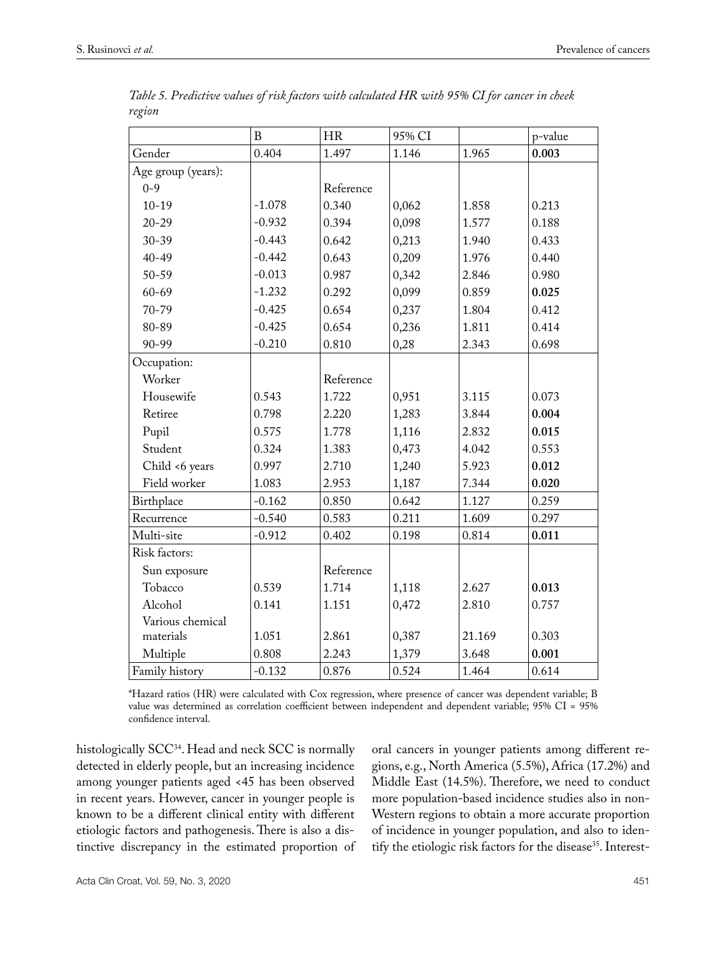|                    | B        | <b>HR</b> | 95% CI |        | p-value |
|--------------------|----------|-----------|--------|--------|---------|
| Gender             | 0.404    | 1.497     | 1.146  | 1.965  | 0.003   |
| Age group (years): |          |           |        |        |         |
| $0 - 9$            |          | Reference |        |        |         |
| $10 - 19$          | $-1.078$ | 0.340     | 0,062  | 1.858  | 0.213   |
| $20 - 29$          | $-0.932$ | 0.394     | 0,098  | 1.577  | 0.188   |
| $30 - 39$          | $-0.443$ | 0.642     | 0,213  | 1.940  | 0.433   |
| $40 - 49$          | $-0.442$ | 0.643     | 0,209  | 1.976  | 0.440   |
| 50-59              | $-0.013$ | 0.987     | 0,342  | 2.846  | 0.980   |
| $60 - 69$          | $-1.232$ | 0.292     | 0,099  | 0.859  | 0.025   |
| $70 - 79$          | $-0.425$ | 0.654     | 0,237  | 1.804  | 0.412   |
| 80-89              | $-0.425$ | 0.654     | 0,236  | 1.811  | 0.414   |
| 90-99              | $-0.210$ | 0.810     | 0,28   | 2.343  | 0.698   |
| Occupation:        |          |           |        |        |         |
| Worker             |          | Reference |        |        |         |
| Housewife          | 0.543    | 1.722     | 0,951  | 3.115  | 0.073   |
| Retiree            | 0.798    | 2.220     | 1,283  | 3.844  | 0.004   |
| Pupil              | 0.575    | 1.778     | 1,116  | 2.832  | 0.015   |
| Student            | 0.324    | 1.383     | 0,473  | 4.042  | 0.553   |
| Child <6 years     | 0.997    | 2.710     | 1,240  | 5.923  | 0.012   |
| Field worker       | 1.083    | 2.953     | 1,187  | 7.344  | 0.020   |
| Birthplace         | $-0.162$ | 0.850     | 0.642  | 1.127  | 0.259   |
| Recurrence         | $-0.540$ | 0.583     | 0.211  | 1.609  | 0.297   |
| Multi-site         | $-0.912$ | 0.402     | 0.198  | 0.814  | 0.011   |
| Risk factors:      |          |           |        |        |         |
| Sun exposure       |          | Reference |        |        |         |
| Tobacco            | 0.539    | 1.714     | 1,118  | 2.627  | 0.013   |
| Alcohol            | 0.141    | 1.151     | 0,472  | 2.810  | 0.757   |
| Various chemical   |          |           |        |        |         |
| materials          | 1.051    | 2.861     | 0,387  | 21.169 | 0.303   |
| Multiple           | 0.808    | 2.243     | 1,379  | 3.648  | 0.001   |
| Family history     | $-0.132$ | 0.876     | 0.524  | 1.464  | 0.614   |

*Table 5. Predictive values of risk factors with calculated HR with 95% CI for cancer in cheek region*

\*Hazard ratios (HR) were calculated with Cox regression, where presence of cancer was dependent variable; B value was determined as correlation coefficient between independent and dependent variable; 95% CI = 95% confidence interval.

histologically SCC<sup>34</sup>. Head and neck SCC is normally detected in elderly people, but an increasing incidence among younger patients aged <45 has been observed in recent years. However, cancer in younger people is known to be a different clinical entity with different etiologic factors and pathogenesis. There is also a distinctive discrepancy in the estimated proportion of

oral cancers in younger patients among different regions, e.g., North America (5.5%), Africa (17.2%) and Middle East (14.5%). Therefore, we need to conduct more population-based incidence studies also in non-Western regions to obtain a more accurate proportion of incidence in younger population, and also to identify the etiologic risk factors for the disease<sup>35</sup>. Interest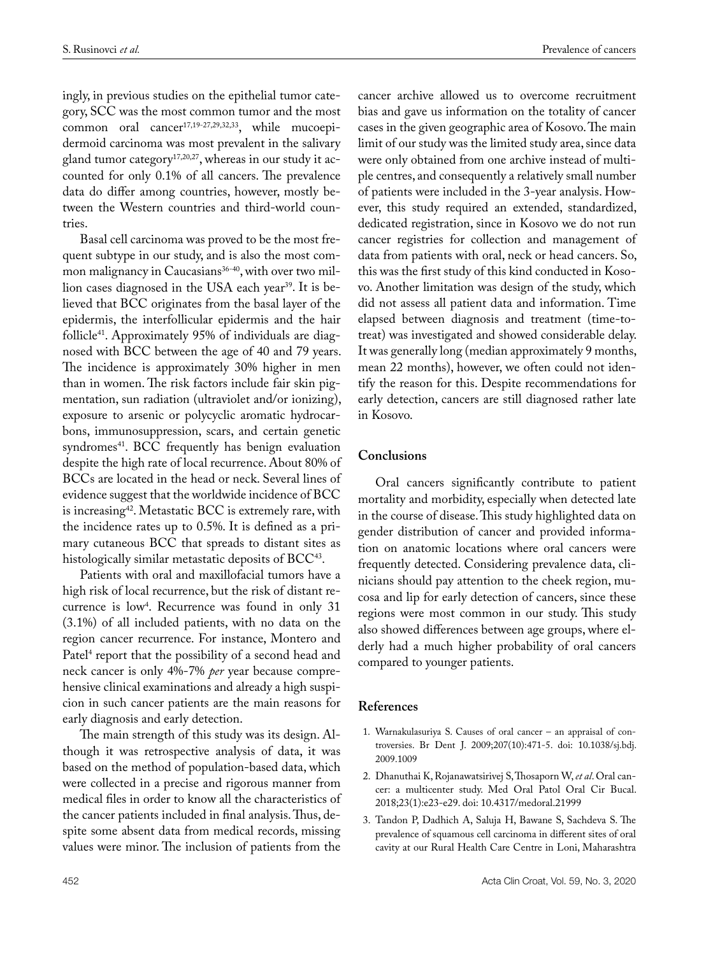ingly, in previous studies on the epithelial tumor category, SCC was the most common tumor and the most common oral cancer<sup>17,19-27,29,32,33</sup>, while mucoepidermoid carcinoma was most prevalent in the salivary gland tumor category<sup>17,20,27</sup>, whereas in our study it accounted for only 0.1% of all cancers. The prevalence data do differ among countries, however, mostly between the Western countries and third-world countries.

Basal cell carcinoma was proved to be the most frequent subtype in our study, and is also the most common malignancy in Caucasians<sup>36-40</sup>, with over two million cases diagnosed in the USA each year<sup>39</sup>. It is believed that BCC originates from the basal layer of the epidermis, the interfollicular epidermis and the hair follicle41. Approximately 95% of individuals are diagnosed with BCC between the age of 40 and 79 years. The incidence is approximately 30% higher in men than in women. The risk factors include fair skin pigmentation, sun radiation (ultraviolet and/or ionizing), exposure to arsenic or polycyclic aromatic hydrocarbons, immunosuppression, scars, and certain genetic syndromes<sup>41</sup>. BCC frequently has benign evaluation despite the high rate of local recurrence. About 80% of BCCs are located in the head or neck. Several lines of evidence suggest that the worldwide incidence of BCC is increasing<sup>42</sup>. Metastatic BCC is extremely rare, with the incidence rates up to 0.5%. It is defined as a primary cutaneous BCC that spreads to distant sites as histologically similar metastatic deposits of BCC<sup>43</sup>.

Patients with oral and maxillofacial tumors have a high risk of local recurrence, but the risk of distant recurrence is low4 . Recurrence was found in only 31 (3.1%) of all included patients, with no data on the region cancer recurrence. For instance, Montero and Patel<sup>4</sup> report that the possibility of a second head and neck cancer is only 4%-7% *per* year because comprehensive clinical examinations and already a high suspicion in such cancer patients are the main reasons for early diagnosis and early detection.

The main strength of this study was its design. Although it was retrospective analysis of data, it was based on the method of population-based data, which were collected in a precise and rigorous manner from medical files in order to know all the characteristics of the cancer patients included in final analysis. Thus, despite some absent data from medical records, missing values were minor. The inclusion of patients from the

cancer archive allowed us to overcome recruitment bias and gave us information on the totality of cancer cases in the given geographic area of Kosovo. The main limit of our study was the limited study area, since data were only obtained from one archive instead of multiple centres, and consequently a relatively small number of patients were included in the 3-year analysis. However, this study required an extended, standardized, dedicated registration, since in Kosovo we do not run cancer registries for collection and management of data from patients with oral, neck or head cancers. So, this was the first study of this kind conducted in Kosovo. Another limitation was design of the study, which did not assess all patient data and information. Time elapsed between diagnosis and treatment (time-totreat) was investigated and showed considerable delay. It was generally long (median approximately 9 months, mean 22 months), however, we often could not identify the reason for this. Despite recommendations for early detection, cancers are still diagnosed rather late in Kosovo.

# **Conclusions**

Oral cancers significantly contribute to patient mortality and morbidity, especially when detected late in the course of disease. This study highlighted data on gender distribution of cancer and provided information on anatomic locations where oral cancers were frequently detected. Considering prevalence data, clinicians should pay attention to the cheek region, mucosa and lip for early detection of cancers, since these regions were most common in our study. This study also showed differences between age groups, where elderly had a much higher probability of oral cancers compared to younger patients.

## **References**

- 1. Warnakulasuriya S. Causes of oral cancer an appraisal of controversies. Br Dent J. 2009;207(10):471-5. doi: 10.1038/sj.bdj. 2009.1009
- 2. Dhanuthai K, Rojanawatsirivej S, Thosaporn W, *et al*. Oral cancer: a multicenter study. Med Oral Patol Oral Cir Bucal. 2018;23(1):e23-e29. doi: 10.4317/medoral.21999
- 3. Tandon P, Dadhich A, Saluja H, Bawane S, Sachdeva S. The prevalence of squamous cell carcinoma in different sites of oral cavity at our Rural Health Care Centre in Loni, Maharashtra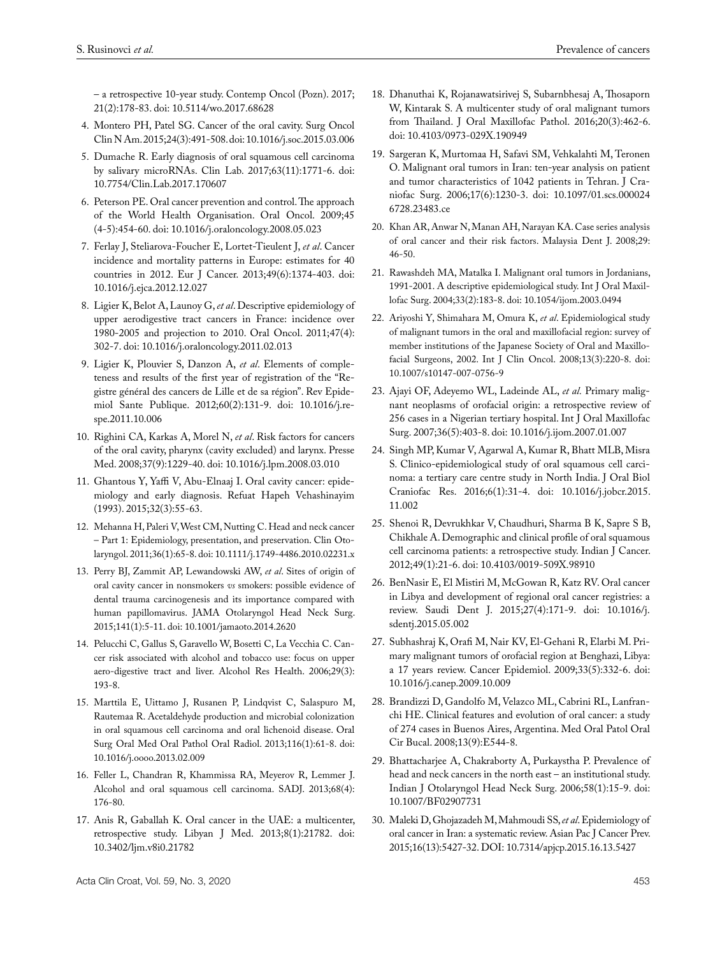– a retrospective 10-year study. Contemp Oncol (Pozn). 2017; 21(2):178-83. doi: 10.5114/wo.2017.68628

- 4. Montero PH, Patel SG. Cancer of the oral cavity. Surg Oncol Clin N Am. 2015;24(3):491-508. doi: 10.1016/j.soc.2015.03.006
- 5. Dumache R. Early diagnosis of oral squamous cell carcinoma by salivary microRNAs. Clin Lab. 2017;63(11):1771-6. doi: 10.7754/Clin.Lab.2017.170607
- 6. Peterson PE. Oral cancer prevention and control. The approach of the World Health Organisation. Oral Oncol. 2009;45 (4-5):454-60. doi: 10.1016/j.oraloncology.2008.05.023
- 7. Ferlay J, Steliarova-Foucher E, Lortet-Tieulent J, *et al*. Cancer incidence and mortality patterns in Europe: estimates for 40 countries in 2012. Eur J Cancer. 2013;49(6):1374-403. doi: 10.1016/j.ejca.2012.12.027
- 8. Ligier K, Belot A, Launoy G, *et al*. Descriptive epidemiology of upper aerodigestive tract cancers in France: incidence over 1980-2005 and projection to 2010. Oral Oncol. 2011;47(4): 302-7. doi: 10.1016/j.oraloncology.2011.02.013
- 9. Ligier K, Plouvier S, Danzon A, *et al*. Elements of completeness and results of the first year of registration of the "Registre général des cancers de Lille et de sa région". Rev Epidemiol Sante Publique. 2012;60(2):131-9. doi: 10.1016/j.respe.2011.10.006
- 10. Righini CA, Karkas A, Morel N, *et al*. Risk factors for cancers of the oral cavity, pharynx (cavity excluded) and larynx. Presse Med. 2008;37(9):1229-40. doi: 10.1016/j.lpm.2008.03.010
- 11. Ghantous Y, Yaffi V, Abu-Elnaaj I. Oral cavity cancer: epidemiology and early diagnosis. Refuat Hapeh Vehashinayim (1993). 2015;32(3):55-63.
- 12. Mehanna H, Paleri V, West CM, Nutting C. Head and neck cancer – Part 1: Epidemiology, presentation, and preservation. Clin Otolaryngol. 2011;36(1):65-8. doi: 10.1111/j.1749-4486.2010.02231.x
- 13. Perry BJ, Zammit AP, Lewandowski AW, *et al*. Sites of origin of oral cavity cancer in nonsmokers *vs* smokers: possible evidence of dental trauma carcinogenesis and its importance compared with human papillomavirus. JAMA Otolaryngol Head Neck Surg. 2015;141(1):5-11. doi: 10.1001/jamaoto.2014.2620
- 14. Pelucchi C, Gallus S, Garavello W, Bosetti C, La Vecchia C. Cancer risk associated with alcohol and tobacco use: focus on upper aero-digestive tract and liver. Alcohol Res Health. 2006;29(3): 193-8.
- 15. Marttila E, Uittamo J, Rusanen P, Lindqvist C, Salaspuro M, Rautemaa R. Acetaldehyde production and microbial colonization in oral squamous cell carcinoma and oral lichenoid disease. Oral Surg Oral Med Oral Pathol Oral Radiol. 2013;116(1):61-8. doi: 10.1016/j.oooo.2013.02.009
- 16. Feller L, Chandran R, Khammissa RA, Meyerov R, Lemmer J. Alcohol and oral squamous cell carcinoma. SADJ. 2013;68(4): 176-80.
- 17. Anis R, Gaballah K. Oral cancer in the UAE: a multicenter, retrospective study. Libyan J Med. 2013;8(1):21782. doi: 10.3402/ljm.v8i0.21782
- 18. Dhanuthai K, Rojanawatsirivej S, Subarnbhesaj A, Thosaporn W, Kintarak S. A multicenter study of oral malignant tumors from Thailand. J Oral Maxillofac Pathol. 2016;20(3):462-6. doi: 10.4103/0973-029X.190949
- 19. Sargeran K, Murtomaa H, Safavi SM, Vehkalahti M, Teronen O. Malignant oral tumors in Iran: ten-year analysis on patient and tumor characteristics of 1042 patients in Tehran. J Craniofac Surg. 2006;17(6):1230-3. doi: 10.1097/01.scs.000024 6728.23483.ce
- 20. Khan AR, Anwar N, Manan AH, Narayan KA. Case series analysis of oral cancer and their risk factors. Malaysia Dent J. 2008;29: 46-50.
- 21. Rawashdeh MA, Matalka I. Malignant oral tumors in Jordanians, 1991-2001. A descriptive epidemiological study. Int J Oral Maxillofac Surg. 2004;33(2):183-8. doi: 10.1054/ijom.2003.0494
- 22. Ariyoshi Y, Shimahara M, Omura K, *et al*. Epidemiological study of malignant tumors in the oral and maxillofacial region: survey of member institutions of the Japanese Society of Oral and Maxillofacial Surgeons, 2002. Int J Clin Oncol. 2008;13(3):220-8. doi: 10.1007/s10147-007-0756-9
- 23. Ajayi OF, Adeyemo WL, Ladeinde AL, *et al.* Primary malignant neoplasms of orofacial origin: a retrospective review of 256 cases in a Nigerian tertiary hospital. Int J Oral Maxillofac Surg. 2007;36(5):403-8. doi: 10.1016/j.ijom.2007.01.007
- 24. Singh MP, Kumar V, Agarwal A, Kumar R, Bhatt MLB, Misra S. Clinico-epidemiological study of oral squamous cell carcinoma: a tertiary care centre study in North India. J Oral Biol Craniofac Res. 2016;6(1):31-4. doi: 10.1016/j.jobcr.2015. 11.002
- 25. Shenoi R, Devrukhkar V, Chaudhuri, Sharma B K, Sapre S B, Chikhale A. Demographic and clinical profile of oral squamous cell carcinoma patients: a retrospective study. Indian J Cancer. 2012;49(1):21-6. doi: 10.4103/0019-509X.98910
- 26. BenNasir E, El Mistiri M, McGowan R, Katz RV. Oral cancer in Libya and development of regional oral cancer registries: a review. Saudi Dent J. 2015;27(4):171-9. doi: 10.1016/j. sdentj.2015.05.002
- 27. Subhashraj K, Orafi M, Nair KV, El-Gehani R, Elarbi M. Primary malignant tumors of orofacial region at Benghazi, Libya: a 17 years review. Cancer Epidemiol. 2009;33(5):332-6. doi: 10.1016/j.canep.2009.10.009
- 28. Brandizzi D, Gandolfo M, Velazco ML, Cabrini RL, Lanfranchi HE. Clinical features and evolution of oral cancer: a study of 274 cases in Buenos Aires, Argentina. Med Oral Patol Oral Cir Bucal. 2008;13(9):E544-8.
- 29. Bhattacharjee A, Chakraborty A, Purkaystha P. Prevalence of head and neck cancers in the north east – an institutional study. Indian J Otolaryngol Head Neck Surg. 2006;58(1):15-9. doi: 10.1007/BF02907731
- 30. Maleki D, Ghojazadeh M, Mahmoudi SS, *et al*. Epidemiology of oral cancer in Iran: a systematic review. Asian Pac J Cancer Prev. 2015;16(13):5427-32. DOI: 10.7314/apjcp.2015.16.13.5427